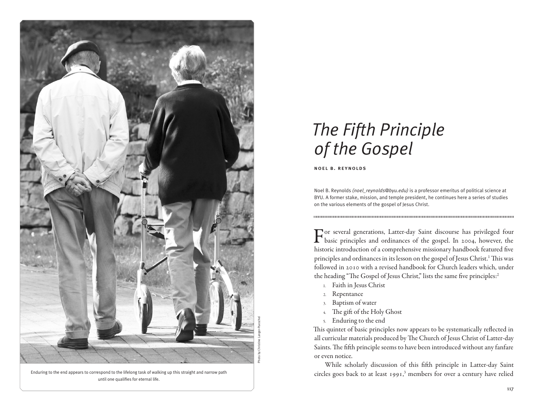

Enduring to the end appears to correspond to the lifelong task of walking up this straight and narrow path until one qualifies for eternal life.

# *The Fifth Principle of the Gospel*

noel b. reynolds

Noel B. Reynolds *(noel\_reynolds@byu.edu)* is a professor emeritus of political science at BYU. A former stake, mission, and temple president, he continues here a series of studies on the various elements of the gospel of Jesus Christ.

For several generations, Latter-day Saint discourse has privileged four basic principles and ordinances of the gospel. In 2004, however, the historic introduction of a comprehensive missionary handbook featured five principles and ordinances in its lesson on the gospel of Jesus Christ.1 This was followed in 2010 with a revised handbook for Church leaders which, under the heading "The Gospel of Jesus Christ," lists the same five principles:<sup>2</sup>

- 1. Faith in Jesus Christ
- 2. Repentance
- 3. Baptism of water
- 4. The gift of the Holy Ghost
- 5. Enduring to the end

This quintet of basic principles now appears to be systematically reflected in all curricular materials produced by The Church of Jesus Christ of Latter-day Saints. The fifth principle seems to have been introduced without any fanfare or even notice.

While scholarly discussion of this fifth principle in Latter-day Saint circles goes back to at least  $1991$ ,<sup>3</sup> members for over a century have relied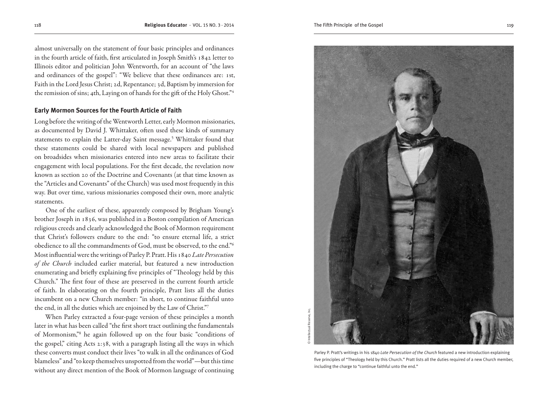almost universally on the statement of four basic principles and ordinances in the fourth article of faith, first articulated in Joseph Smith's 1842 letter to Illinois editor and politician John Wentworth, for an account of "the laws and ordinances of the gospel": "We believe that these ordinances are: 1st, Faith in the Lord Jesus Christ; 2d, Repentance; 3d, Baptism by immersion for the remission of sins; 4th, Laying on of hands for the gift of the Holy Ghost."4

#### **Early Mormon Sources for the Fourth Article of Faith**

Long before the writing of the Wentworth Letter, early Mormon missionaries, as documented by David J. Whittaker, often used these kinds of summary statements to explain the Latter-day Saint message.<sup>5</sup> Whittaker found that these statements could be shared with local newspapers and published on broadsides when missionaries entered into new areas to facilitate their engagement with local populations. For the first decade, the revelation now known as section 20 of the Doctrine and Covenants (at that time known as the "Articles and Covenants" of the Church) was used most frequently in this way. But over time, various missionaries composed their own, more analytic statements.

One of the earliest of these, apparently composed by Brigham Young's brother Joseph in 1836, was published in a Boston compilation of American religious creeds and clearly acknowledged the Book of Mormon requirement that Christ's followers endure to the end: "to ensure eternal life, a strict obedience to all the commandments of God, must be observed, to the end."6 Most influential were the writings of Parley P. Pratt. His 1840 *Late Persecution of the Church* included earlier material, but featured a new introduction enumerating and briefly explaining five principles of "Theology held by this Church." The first four of these are preserved in the current fourth article of faith. In elaborating on the fourth principle, Pratt lists all the duties incumbent on a new Church member: "in short, to continue faithful unto the end, in all the duties which are enjoined by the Law of Christ."7

When Parley extracted a four-page version of these principles a month later in what has been called "the first short tract outlining the fundamentals of Mormonism,"8 he again followed up on the four basic "conditions of the gospel," citing Acts 2:38, with a paragraph listing all the ways in which these converts must conduct their lives "to walk in all the ordinances of God blameless" and "to keep themselves unspotted from the world"—but this time without any direct mention of the Book of Mormon language of continuing



Parley P. Pratt's writings in his 1840 *Late Persecution of the Church* featured a new introduction explaining five principles of "Theology held by this Church." Pratt lists all the duties required of a new Church member, including the charge to "continue faithful unto the end."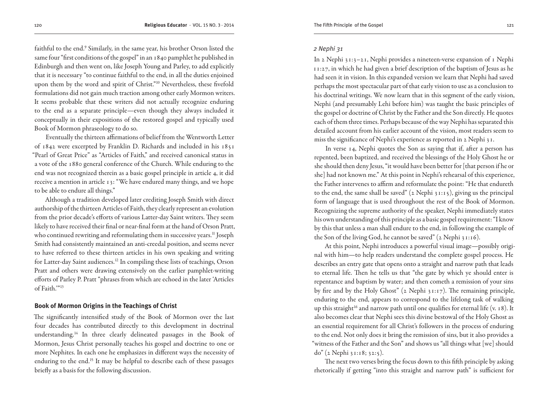faithful to the end.<sup>9</sup> Similarly, in the same year, his brother Orson listed the same four "first conditions of the gospel" in an 1840 pamphlet he published in Edinburgh and then went on, like Joseph Young and Parley, to add explicitly that it is necessary "to continue faithful to the end, in all the duties enjoined upon them by the word and spirit of Christ."10 Nevertheless, these fivefold formulations did not gain much traction among other early Mormon writers. It seems probable that these writers did not actually recognize enduring to the end as a separate principle—even though they always included it conceptually in their expositions of the restored gospel and typically used Book of Mormon phraseology to do so.

Eventually the thirteen affirmations of belief from the Wentworth Letter of 1842 were excerpted by Franklin D. Richards and included in his 1851 "Pearl of Great Price" as "Articles of Faith," and received canonical status in a vote of the 1880 general conference of the Church. While enduring to the end was not recognized therein as a basic gospel principle in article 4, it did receive a mention in article 13: "We have endured many things, and we hope to be able to endure all things."

Although a tradition developed later crediting Joseph Smith with direct authorship of the thirteen Articles of Faith, they clearly represent an evolution from the prior decade's efforts of various Latter-day Saint writers. They seem likely to have received their final or near-final form at the hand of Orson Pratt, who continued rewriting and reformulating them in successive years.<sup>11</sup> Joseph Smith had consistently maintained an anti-creedal position, and seems never to have referred to these thirteen articles in his own speaking and writing for Latter-day Saint audiences.12 In compiling these lists of teachings, Orson Pratt and others were drawing extensively on the earlier pamphlet-writing efforts of Parley P. Pratt "phrases from which are echoed in the later 'Articles of Faith.'"13

## **Book of Mormon Origins in the Teachings of Christ**

The significantly intensified study of the Book of Mormon over the last four decades has contributed directly to this development in doctrinal understanding.14 In three clearly delineated passages in the Book of Mormon, Jesus Christ personally teaches his gospel and doctrine to one or more Nephites. In each one he emphasizes in different ways the necessity of enduring to the end.<sup>15</sup> It may be helpful to describe each of these passages briefly as a basis for the following discussion.

## *2 Nephi 31*

In 2 Nephi 31:3–21, Nephi provides a nineteen-verse expansion of 1 Nephi 11:27, in which he had given a brief description of the baptism of Jesus as he had seen it in vision. In this expanded version we learn that Nephi had saved perhaps the most spectacular part of that early vision to use as a conclusion to his doctrinal writings. We now learn that in this segment of the early vision, Nephi (and presumably Lehi before him) was taught the basic principles of the gospel or doctrine of Christ by the Father and the Son directly. He quotes each of them three times. Perhaps because of the way Nephi has separated this detailed account from his earlier account of the vision, most readers seem to miss the significance of Nephi's experience as reported in 2 Nephi 31.

In verse 14, Nephi quotes the Son as saying that if, after a person has repented, been baptized, and received the blessings of the Holy Ghost he or she should then deny Jesus, "it would have been better for [that person if he or she] had not known me." At this point in Nephi's rehearsal of this experience, the Father intervenes to affirm and reformulate the point: "He that endureth to the end, the same shall be saved"  $(z \nNephi 31:15)$ , giving us the principal form of language that is used throughout the rest of the Book of Mormon. Recognizing the supreme authority of the speaker, Nephi immediately states his own understanding of this principle as a basic gospel requirement: "I know by this that unless a man shall endure to the end, in following the example of the Son of the living God, he cannot be saved" (2 Nephi 31:16).

At this point, Nephi introduces a powerful visual image—possibly original with him—to help readers understand the complete gospel process. He describes an entry gate that opens onto a straight and narrow path that leads to eternal life. Then he tells us that "the gate by which ye should enter is repentance and baptism by water; and then cometh a remission of your sins by fire and by the Holy Ghost" (2 Nephi 31:17). The remaining principle, enduring to the end, appears to correspond to the lifelong task of walking up this straight<sup>16</sup> and narrow path until one qualifies for eternal life (v. 18). It also becomes clear that Nephi sees this divine bestowal of the Holy Ghost as an essential requirement for all Christ's followers in the process of enduring to the end. Not only does it bring the remission of sins, but it also provides a "witness of the Father and the Son" and shows us "all things what [we] should do" (2 Nephi 31:18; 32:5).

The next two verses bring the focus down to this fifth principle by asking rhetorically if getting "into this straight and narrow path" is sufficient for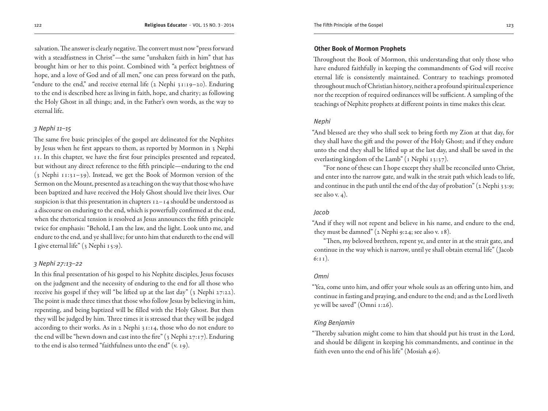salvation. The answer is clearly negative. The convert must now "press forward with a steadfastness in Christ"—the same "unshaken faith in him" that has brought him or her to this point. Combined with "a perfect brightness of hope, and a love of God and of all men," one can press forward on the path, "endure to the end," and receive eternal life (2 Nephi 31:19–20). Enduring to the end is described here as living in faith, hope, and charity; as following the Holy Ghost in all things; and, in the Father's own words, as the way to eternal life.

# *3 Nephi 11–15*

The same five basic principles of the gospel are delineated for the Nephites by Jesus when he first appears to them, as reported by Mormon in 3 Nephi 11. In this chapter, we have the first four principles presented and repeated, but without any direct reference to the fifth principle—enduring to the end (3 Nephi 11:31–39). Instead, we get the Book of Mormon version of the Sermon on the Mount, presented as a teaching on the way that those who have been baptized and have received the Holy Ghost should live their lives. Our suspicion is that this presentation in chapters 12–14 should be understood as a discourse on enduring to the end, which is powerfully confirmed at the end, when the rhetorical tension is resolved as Jesus announces the fifth principle twice for emphasis: "Behold, I am the law, and the light. Look unto me, and endure to the end, and ye shall live; for unto him that endureth to the end will I give eternal life"  $(3 \text{ Nephi } 15:9)$ .

# *3 Nephi 27:13–22*

In this final presentation of his gospel to his Nephite disciples, Jesus focuses on the judgment and the necessity of enduring to the end for all those who receive his gospel if they will "be lifted up at the last day" (3 Nephi 27:22). The point is made three times that those who follow Jesus by believing in him, repenting, and being baptized will be filled with the Holy Ghost. But then they will be judged by him. Three times it is stressed that they will be judged according to their works. As in 2 Nephi 31:14, those who do not endure to the end will be "hewn down and cast into the fire" (3 Nephi 27:17). Enduring to the end is also termed "faithfulness unto the end" (v. 19).

## **Other Book of Mormon Prophets**

Throughout the Book of Mormon, this understanding that only those who have endured faithfully in keeping the commandments of God will receive eternal life is consistently maintained. Contrary to teachings promoted throughout much of Christian history, neither a profound spiritual experience nor the reception of required ordinances will be sufficient. A sampling of the teachings of Nephite prophets at different points in time makes this clear.

## *Nephi*

"And blessed are they who shall seek to bring forth my Zion at that day, for they shall have the gift and the power of the Holy Ghost; and if they endure unto the end they shall be lifted up at the last day, and shall be saved in the everlasting kingdom of the Lamb" (1 Nephi 13:37).

"For none of these can I hope except they shall be reconciled unto Christ, and enter into the narrow gate, and walk in the strait path which leads to life, and continue in the path until the end of the day of probation" (2 Nephi 33:9; see also v. 4).

#### *Jacob*

"And if they will not repent and believe in his name, and endure to the end, they must be damned" (2 Nephi 9:24; see also v. 18).

"Then, my beloved brethren, repent ye, and enter in at the strait gate, and continue in the way which is narrow, until ye shall obtain eternal life" ( Jacob 6:11).

#### *Omni*

"Yea, come unto him, and offer your whole souls as an offering unto him, and continue in fasting and praying, and endure to the end; and as the Lord liveth ye will be saved" (Omni 1:26).

#### *King Benjamin*

"Thereby salvation might come to him that should put his trust in the Lord, and should be diligent in keeping his commandments, and continue in the faith even unto the end of his life" (Mosiah 4:6).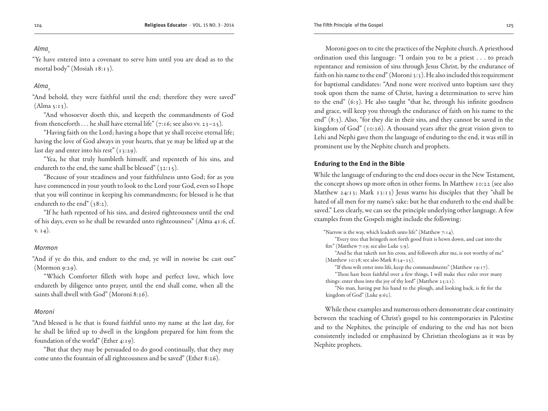# Alma<sub>1</sub>

"Ye have entered into a covenant to serve him until you are dead as to the mortal body" (Mosiah 18:13).

# Alma<sub>2</sub>

"And behold, they were faithful until the end; therefore they were saved"  $(Alma 5:13).$ 

"And whosoever doeth this, and keepeth the commandments of God from thenceforth . . . he shall have eternal life"  $(7:16;$  see also vv.  $23-25$ ).

"Having faith on the Lord; having a hope that ye shall receive eternal life; having the love of God always in your hearts, that ye may be lifted up at the last day and enter into his rest" (13:29).

"Yea, he that truly humbleth himself, and repenteth of his sins, and endureth to the end, the same shall be blessed"  $(32:15)$ .

"Because of your steadiness and your faithfulness unto God; for as you have commenced in your youth to look to the Lord your God, even so I hope that you will continue in keeping his commandments; for blessed is he that endureth to the end" (38:2).

"If he hath repented of his sins, and desired righteousness until the end of his days, even so he shall be rewarded unto righteousness" (Alma 41:6, cf. v. 14).

# *Mormon*

"And if ye do this, and endure to the end, ye will in nowise be cast out" (Mormon 9:29).

"Which Comforter filleth with hope and perfect love, which love endureth by diligence unto prayer, until the end shall come, when all the saints shall dwell with God" (Moroni 8:26).

# *Moroni*

"And blessed is he that is found faithful unto my name at the last day, for he shall be lifted up to dwell in the kingdom prepared for him from the foundation of the world" (Ether 4:19).

"But that they may be persuaded to do good continually, that they may come unto the fountain of all righteousness and be saved" (Ether 8:26).

Moroni goes on to cite the practices of the Nephite church. A priesthood ordination used this language: "I ordain you to be a priest . . . to preach repentance and remission of sins through Jesus Christ, by the endurance of faith on his name to the end" (Moroni 3:3). He also included this requirement for baptismal candidates: "And none were received unto baptism save they took upon them the name of Christ, having a determination to serve him to the end" (6:3). He also taught "that he, through his infinite goodness and grace, will keep you through the endurance of faith on his name to the end" (8:3). Also, "for they die in their sins, and they cannot be saved in the kingdom of God" (10:26). A thousand years after the great vision given to Lehi and Nephi gave them the language of enduring to the end, it was still in prominent use by the Nephite church and prophets.

# **Enduring to the End in the Bible**

While the language of enduring to the end does occur in the New Testament, the concept shows up more often in other forms. In Matthew 10:22 (see also Matthew 24:13; Mark 13:13) Jesus warns his disciples that they "shall be hated of all men for my name's sake: but he that endureth to the end shall be saved." Less clearly, we can see the principle underlying other language. A few examples from the Gospels might include the following:

"Narrow is the way, which leadeth unto life" (Matthew 7:14).

"Every tree that bringeth not forth good fruit is hewn down, and cast into the fire" (Matthew 7:19; see also Luke 3:9).

"And he that taketh not his cross, and followeth after me, is not worthy of me" (Matthew 10:38; see also Mark 8:34–35).

"If thou wilt enter into life, keep the commandments" (Matthew 19:17).

"Thou hast been faithful over a few things, I will make thee ruler over many things: enter thou into the joy of thy lord" (Matthew 25:21).

"No man, having put his hand to the plough, and looking back, is fit for the kingdom of God" (Luke 9:62).

While these examples and numerous others demonstrate clear continuity between the teaching of Christ's gospel to his contemporaries in Palestine and to the Nephites, the principle of enduring to the end has not been consistently included or emphasized by Christian theologians as it was by Nephite prophets.